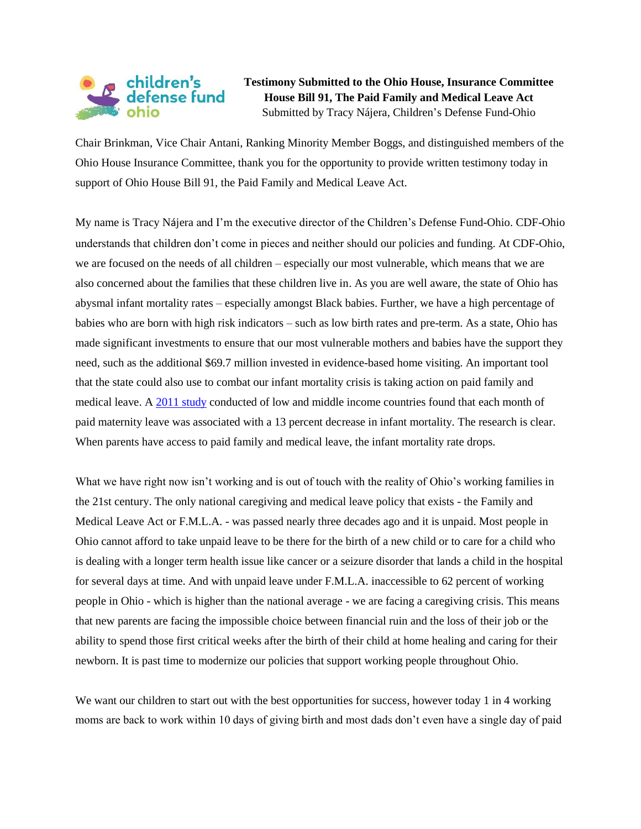

**Testimony Submitted to the Ohio House, Insurance Committee House Bill 91, The Paid Family and Medical Leave Act**  Submitted by Tracy Nájera, Children's Defense Fund-Ohio

Chair Brinkman, Vice Chair Antani, Ranking Minority Member Boggs, and distinguished members of the Ohio House Insurance Committee, thank you for the opportunity to provide written testimony today in support of Ohio House Bill 91, the Paid Family and Medical Leave Act.

My name is Tracy Nájera and I'm the executive director of the Children's Defense Fund-Ohio. CDF-Ohio understands that children don't come in pieces and neither should our policies and funding. At CDF-Ohio, we are focused on the needs of all children – especially our most vulnerable, which means that we are also concerned about the families that these children live in. As you are well aware, the state of Ohio has abysmal infant mortality rates – especially amongst Black babies. Further, we have a high percentage of babies who are born with high risk indicators – such as low birth rates and pre-term. As a state, Ohio has made significant investments to ensure that our most vulnerable mothers and babies have the support they need, such as the additional \$69.7 million invested in evidence-based home visiting. An important tool that the state could also use to combat our infant mortality crisis is taking action on paid family and medical leave. A [2011 study](https://journals.plos.org/plosmedicine/article?id=10.1371/journal.pmed.1001985) conducted of low and middle income countries found that each month of paid maternity leave was associated with a 13 percent decrease in infant mortality. The research is clear. When parents have access to paid family and medical leave, the infant mortality rate drops.

What we have right now isn't working and is out of touch with the reality of Ohio's working families in the 21st century. The only national caregiving and medical leave policy that exists - the Family and Medical Leave Act or F.M.L.A. - was passed nearly three decades ago and it is unpaid. Most people in Ohio cannot afford to take unpaid leave to be there for the birth of a new child or to care for a child who is dealing with a longer term health issue like cancer or a seizure disorder that lands a child in the hospital for several days at time. And with unpaid leave under F.M.L.A. inaccessible to 62 percent of working people in Ohio - which is higher than the national average - we are facing a caregiving crisis. This means that new parents are facing the impossible choice between financial ruin and the loss of their job or the ability to spend those first critical weeks after the birth of their child at home healing and caring for their newborn. It is past time to modernize our policies that support working people throughout Ohio.

We want our children to start out with the best opportunities for success, however today 1 in 4 working moms are back to work within 10 days of giving birth and most dads don't even have a single day of paid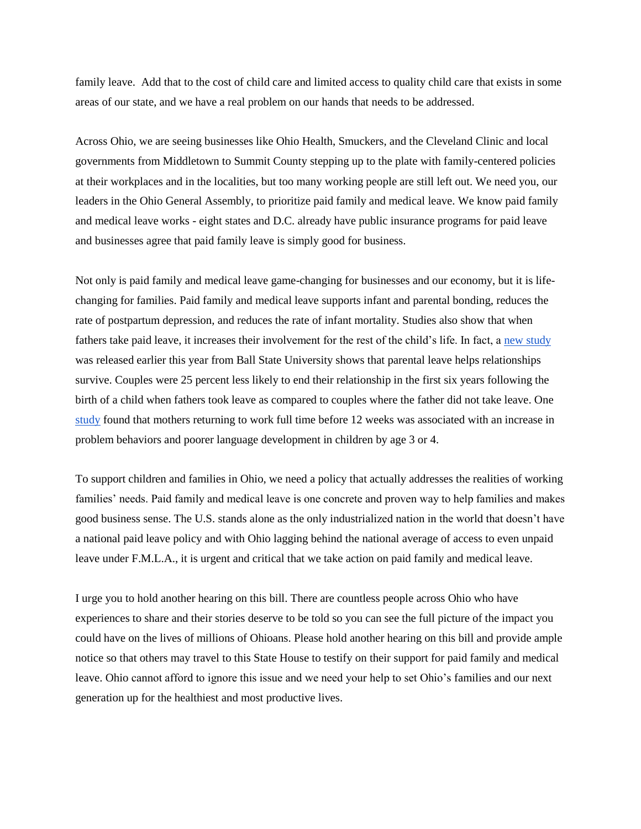family leave. Add that to the cost of child care and limited access to quality child care that exists in some areas of our state, and we have a real problem on our hands that needs to be addressed.

Across Ohio, we are seeing businesses like Ohio Health, Smuckers, and the Cleveland Clinic and local governments from Middletown to Summit County stepping up to the plate with family-centered policies at their workplaces and in the localities, but too many working people are still left out. We need you, our leaders in the Ohio General Assembly, to prioritize paid family and medical leave. We know paid family and medical leave works - eight states and D.C. already have public insurance programs for paid leave and businesses agree that paid family leave is simply good for business.

Not only is paid family and medical leave game-changing for businesses and our economy, but it is lifechanging for families. Paid family and medical leave supports infant and parental bonding, reduces the rate of postpartum depression, and reduces the rate of infant mortality. Studies also show that when fathers take paid leave, it increases their involvement for the rest of the child's life. In fact, a [new study](https://www.bsu.edu/news/press-center/archives/2020/1/parental-leave-often-helps-relationships-survive) was released earlier this year from Ball State University shows that parental leave helps relationships survive. Couples were 25 percent less likely to end their relationship in the first six years following the birth of a child when fathers took leave as compared to couples where the father did not take leave. One [study](http://dx.doi.org/10.18357/ijcyfs.62201513500) found that mothers returning to work full time before 12 weeks was associated with an increase in problem behaviors and poorer language development in children by age 3 or 4.

To support children and families in Ohio, we need a policy that actually addresses the realities of working families' needs. Paid family and medical leave is one concrete and proven way to help families and makes good business sense. The U.S. stands alone as the only industrialized nation in the world that doesn't have a national paid leave policy and with Ohio lagging behind the national average of access to even unpaid leave under F.M.L.A., it is urgent and critical that we take action on paid family and medical leave.

I urge you to hold another hearing on this bill. There are countless people across Ohio who have experiences to share and their stories deserve to be told so you can see the full picture of the impact you could have on the lives of millions of Ohioans. Please hold another hearing on this bill and provide ample notice so that others may travel to this State House to testify on their support for paid family and medical leave. Ohio cannot afford to ignore this issue and we need your help to set Ohio's families and our next generation up for the healthiest and most productive lives.